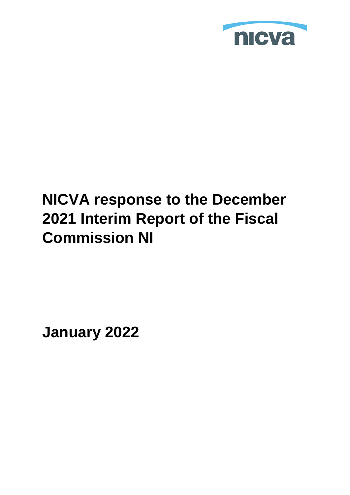

# **NICVA response to the December 2021 Interim Report of the Fiscal Commission NI**

**January 2022**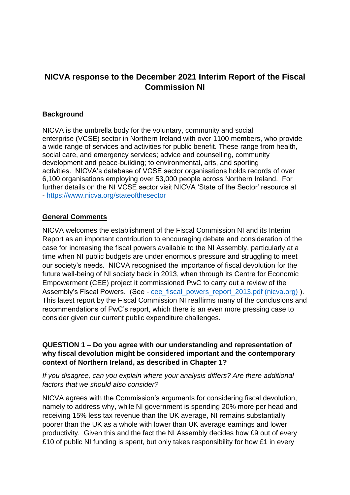# **NICVA response to the December 2021 Interim Report of the Fiscal Commission NI**

#### **Background**

NICVA is the umbrella body for the voluntary, community and social enterprise (VCSE) sector in Northern Ireland with over 1100 members, who provide a wide range of services and activities for public benefit. These range from health, social care, and emergency services; advice and counselling, community development and peace-building; to environmental, arts, and sporting activities. NICVA's database of VCSE sector organisations holds records of over 6,100 organisations employing over 53,000 people across Northern Ireland. For further details on the NI VCSE sector visit NICVA 'State of the Sector' resource at - <https://www.nicva.org/stateofthesector>

#### **General Comments**

NICVA welcomes the establishment of the Fiscal Commission NI and its Interim Report as an important contribution to encouraging debate and consideration of the case for increasing the fiscal powers available to the NI Assembly, particularly at a time when NI public budgets are under enormous pressure and struggling to meet our society's needs. NICVA recognised the importance of fiscal devolution for the future well-being of NI society back in 2013, when through its Centre for Economic Empowerment (CEE) project it commissioned PwC to carry out a review of the Assembly's Fiscal Powers. (See - [cee\\_fiscal\\_powers\\_report\\_2013.pdf \(nicva.org\)](https://www.nicva.org/sites/default/files/d7content/attachments-resources/cee_fiscal_powers_report_2013.pdf) ). This latest report by the Fiscal Commission NI reaffirms many of the conclusions and recommendations of PwC's report, which there is an even more pressing case to consider given our current public expenditure challenges.

#### **QUESTION 1 – Do you agree with our understanding and representation of why fiscal devolution might be considered important and the contemporary context of Northern Ireland, as described in Chapter 1?**

*If you disagree, can you explain where your analysis differs? Are there additional factors that we should also consider?* 

NICVA agrees with the Commission's arguments for considering fiscal devolution, namely to address why, while NI government is spending 20% more per head and receiving 15% less tax revenue than the UK average, NI remains substantially poorer than the UK as a whole with lower than UK average earnings and lower productivity. Given this and the fact the NI Assembly decides how £9 out of every £10 of public NI funding is spent, but only takes responsibility for how £1 in every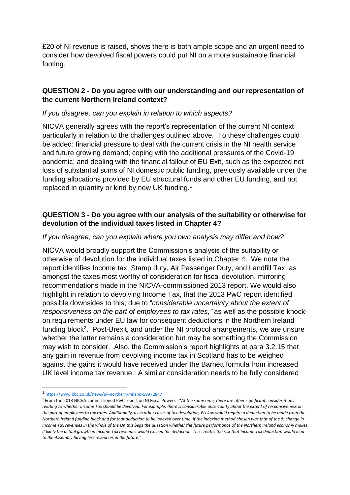£20 of NI revenue is raised, shows there is both ample scope and an urgent need to consider how devolved fiscal powers could put NI on a more sustainable financial footing.

## **QUESTION 2 - Do you agree with our understanding and our representation of the current Northern Ireland context?**

#### *If you disagree, can you explain in relation to which aspects?*

NICVA generally agrees with the report's representation of the current NI context particularly in relation to the challenges outlined above. To these challenges could be added: financial pressure to deal with the current crisis in the NI health service and future growing demand; coping with the additional pressures of the Covid-19 pandemic; and dealing with the financial fallout of EU Exit, such as the expected net loss of substantial sums of NI domestic public funding, previously available under the funding allocations provided by EU structural funds and other EU funding, and not replaced in quantity or kind by new UK funding.<sup>1</sup>

# **QUESTION 3 - Do you agree with our analysis of the suitability or otherwise for devolution of the individual taxes listed in Chapter 4?**

#### *If you disagree, can you explain where you own analysis may differ and how?*

NICVA would broadly support the Commission's analysis of the suitability or otherwise of devolution for the individual taxes listed in Chapter 4. We note the report identifies Income tax, Stamp duty, Air Passenger Duty, and Landfill Tax, as amongst the taxes most worthy of consideration for fiscal devolution, mirroring recommendations made in the NICVA-commissioned 2013 report. We would also highlight in relation to devolving Income Tax, that the 2013 PwC report identified possible downsides to this, due to "*considerable uncertainty about the extent of responsiveness on the part of employees to tax rates,"* as well as the possible knockon requirements under EU law for consequent deductions in the Northern Ireland funding block<sup>2</sup>. Post-Brexit, and under the NI protocol arrangements, we are unsure whether the latter remains a consideration but may be something the Commission may wish to consider. Also, the Commission's report highlights at para 3.2.15 that any gain in revenue from devolving income tax in Scotland has to be weighed against the gains it would have received under the Barnett formula from increased UK level income tax revenue. A similar consideration needs to be fully considered

1

<sup>1</sup> <https://www.bbc.co.uk/news/uk-northern-ireland-59972847>

<sup>2</sup> From the 2013 NICVA-commissioned PwC report on NI Fiscal Powers - "*At the same time, there are other significant considerations relating to whether Income Tax should be devolved. For example, there is considerable uncertainty about the extent of responsiveness on the part of employees to tax rates. Additionally, as in other cases of tax devolution, EU law would require a deduction to be made from the Northern Ireland funding block and for that deduction to be indexed over time. If the indexing method chosen was that of the % change in Income Tax revenues in the whole of the UK this begs the question whether the future performance of the Northern Ireland economy makes it likely the actual growth in Income Tax revenues would exceed the deduction. This creates the risk that Income Tax deduction would lead to the Assembly having less resources in the future*."